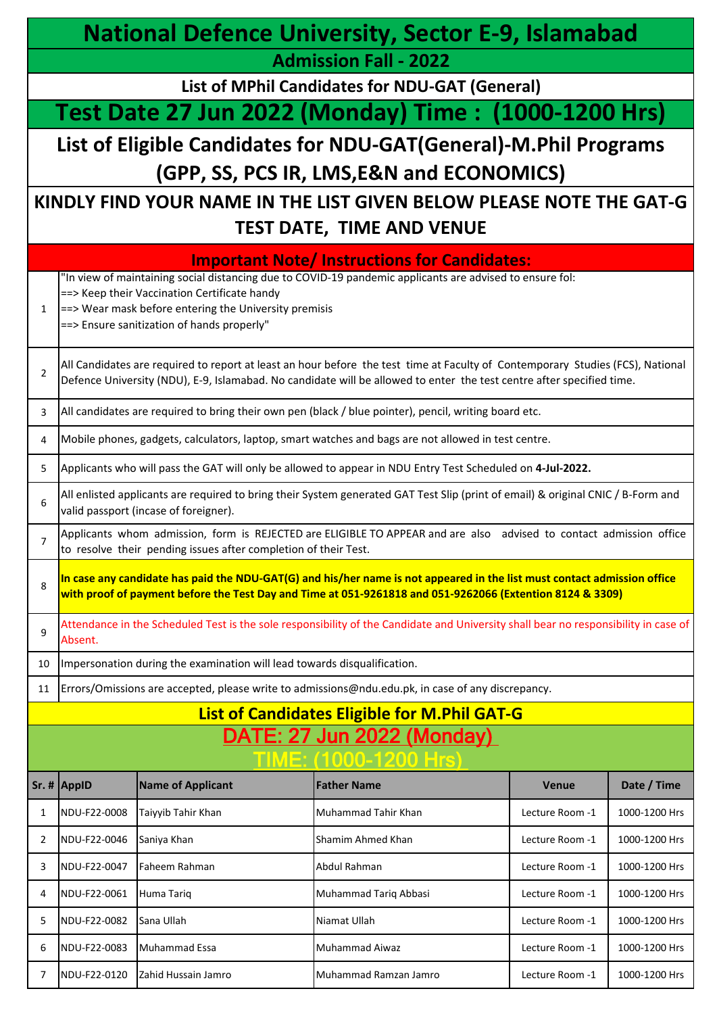|                | <b>National Defence University, Sector E-9, Islamabad</b> |                                                                                                                                                             |                                                                                                                                                                                                                                                         |                 |               |
|----------------|-----------------------------------------------------------|-------------------------------------------------------------------------------------------------------------------------------------------------------------|---------------------------------------------------------------------------------------------------------------------------------------------------------------------------------------------------------------------------------------------------------|-----------------|---------------|
|                |                                                           |                                                                                                                                                             | <b>Admission Fall - 2022</b>                                                                                                                                                                                                                            |                 |               |
|                |                                                           |                                                                                                                                                             | List of MPhil Candidates for NDU-GAT (General)                                                                                                                                                                                                          |                 |               |
|                |                                                           |                                                                                                                                                             | Test Date 27 Jun 2022 (Monday) Time : (1000-1200 Hrs)                                                                                                                                                                                                   |                 |               |
|                |                                                           |                                                                                                                                                             | List of Eligible Candidates for NDU-GAT(General)-M.Phil Programs<br>(GPP, SS, PCS IR, LMS, E&N and ECONOMICS)                                                                                                                                           |                 |               |
|                |                                                           |                                                                                                                                                             | KINDLY FIND YOUR NAME IN THE LIST GIVEN BELOW PLEASE NOTE THE GAT-G<br><b>TEST DATE, TIME AND VENUE</b>                                                                                                                                                 |                 |               |
|                |                                                           |                                                                                                                                                             | <b>Important Note/Instructions for Candidates:</b>                                                                                                                                                                                                      |                 |               |
| 1              |                                                           | ==> Keep their Vaccination Certificate handy<br>$\vert$ ==> Wear mask before entering the University premisis<br>==> Ensure sanitization of hands properly" | "In view of maintaining social distancing due to COVID-19 pandemic applicants are advised to ensure fol:                                                                                                                                                |                 |               |
| $\overline{2}$ |                                                           |                                                                                                                                                             | All Candidates are required to report at least an hour before the test time at Faculty of Contemporary Studies (FCS), National<br>Defence University (NDU), E-9, Islamabad. No candidate will be allowed to enter the test centre after specified time. |                 |               |
| 3              |                                                           |                                                                                                                                                             | All candidates are required to bring their own pen (black / blue pointer), pencil, writing board etc.                                                                                                                                                   |                 |               |
| 4              |                                                           |                                                                                                                                                             | Mobile phones, gadgets, calculators, laptop, smart watches and bags are not allowed in test centre.                                                                                                                                                     |                 |               |
| 5              |                                                           |                                                                                                                                                             | Applicants who will pass the GAT will only be allowed to appear in NDU Entry Test Scheduled on 4-Jul-2022.                                                                                                                                              |                 |               |
| 6              |                                                           | valid passport (incase of foreigner).                                                                                                                       | All enlisted applicants are required to bring their System generated GAT Test Slip (print of email) & original CNIC / B-Form and                                                                                                                        |                 |               |
| $\overline{7}$ |                                                           | to resolve their pending issues after completion of their Test.                                                                                             | Applicants whom admission, form is REJECTED are ELIGIBLE TO APPEAR and are also advised to contact admission office                                                                                                                                     |                 |               |
| 8              |                                                           |                                                                                                                                                             | In case any candidate has paid the NDU-GAT(G) and his/her name is not appeared in the list must contact admission office<br>with proof of payment before the Test Day and Time at 051-9261818 and 051-9262066 (Extention 8124 & 3309)                   |                 |               |
| 9              | Absent.                                                   |                                                                                                                                                             | Attendance in the Scheduled Test is the sole responsibility of the Candidate and University shall bear no responsibility in case of                                                                                                                     |                 |               |
| 10             |                                                           | Impersonation during the examination will lead towards disqualification.                                                                                    |                                                                                                                                                                                                                                                         |                 |               |
| 11             |                                                           |                                                                                                                                                             | Errors/Omissions are accepted, please write to admissions@ndu.edu.pk, in case of any discrepancy.                                                                                                                                                       |                 |               |
|                |                                                           |                                                                                                                                                             | <b>List of Candidates Eligible for M.Phil GAT-G</b>                                                                                                                                                                                                     |                 |               |
|                |                                                           |                                                                                                                                                             | <u>DATE: 27 Jun 2022 (Monday)</u><br>IME: (1000-1200 Hrs)                                                                                                                                                                                               |                 |               |
|                | Sr. # AppID                                               | <b>Name of Applicant</b>                                                                                                                                    | <b>Father Name</b>                                                                                                                                                                                                                                      | <b>Venue</b>    | Date / Time   |
| 1              | NDU-F22-0008                                              | Taiyyib Tahir Khan                                                                                                                                          | Muhammad Tahir Khan                                                                                                                                                                                                                                     | Lecture Room -1 | 1000-1200 Hrs |
| 2              | NDU-F22-0046                                              | Saniya Khan                                                                                                                                                 | Shamim Ahmed Khan                                                                                                                                                                                                                                       | Lecture Room -1 | 1000-1200 Hrs |
| 3              | NDU-F22-0047                                              | Faheem Rahman                                                                                                                                               | Abdul Rahman                                                                                                                                                                                                                                            | Lecture Room -1 | 1000-1200 Hrs |
| 4              | NDU-F22-0061                                              | Huma Tariq                                                                                                                                                  | Muhammad Tariq Abbasi                                                                                                                                                                                                                                   | Lecture Room -1 | 1000-1200 Hrs |
| 5              | NDU-F22-0082                                              | Sana Ullah                                                                                                                                                  | Niamat Ullah                                                                                                                                                                                                                                            | Lecture Room -1 | 1000-1200 Hrs |
| 6              | NDU-F22-0083                                              | <b>Muhammad Essa</b>                                                                                                                                        | <b>Muhammad Aiwaz</b>                                                                                                                                                                                                                                   | Lecture Room -1 | 1000-1200 Hrs |
| $\overline{7}$ | NDU-F22-0120                                              | Zahid Hussain Jamro                                                                                                                                         | Muhammad Ramzan Jamro                                                                                                                                                                                                                                   | Lecture Room -1 | 1000-1200 Hrs |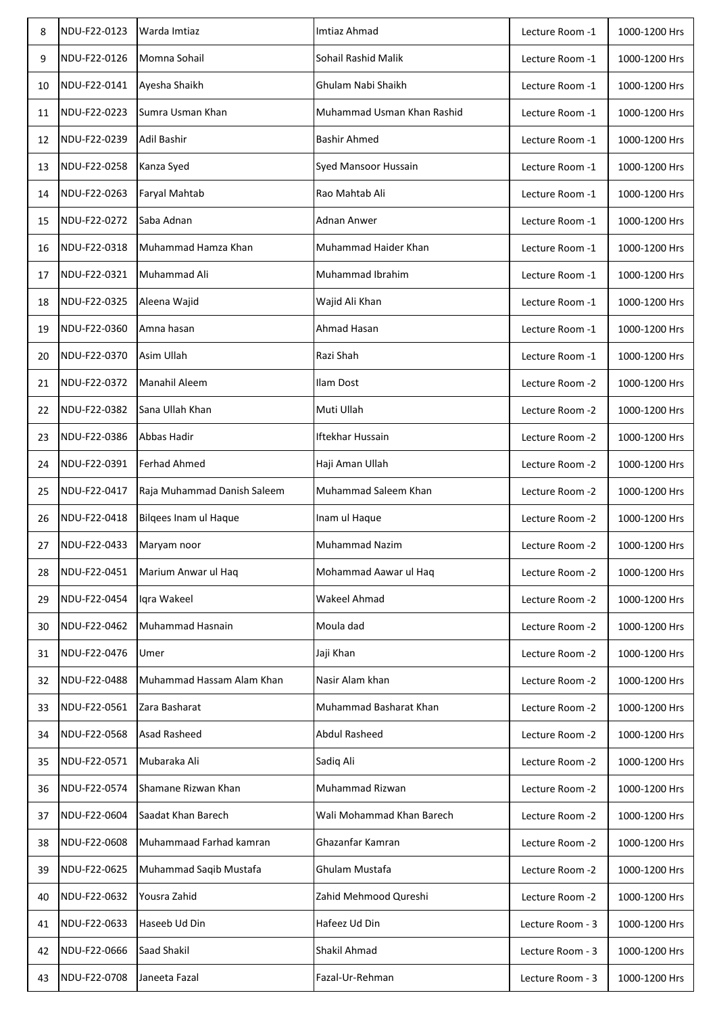| 8  | NDU-F22-0123 | Warda Imtiaz                | Imtiaz Ahmad               | Lecture Room -1  | 1000-1200 Hrs |
|----|--------------|-----------------------------|----------------------------|------------------|---------------|
| 9  | NDU-F22-0126 | Momna Sohail                | Sohail Rashid Malik        | Lecture Room -1  | 1000-1200 Hrs |
| 10 | NDU-F22-0141 | Ayesha Shaikh               | Ghulam Nabi Shaikh         | Lecture Room -1  | 1000-1200 Hrs |
| 11 | NDU-F22-0223 | Sumra Usman Khan            | Muhammad Usman Khan Rashid | Lecture Room -1  | 1000-1200 Hrs |
| 12 | NDU-F22-0239 | Adil Bashir                 | <b>Bashir Ahmed</b>        | Lecture Room -1  | 1000-1200 Hrs |
| 13 | NDU-F22-0258 | Kanza Syed                  | Syed Mansoor Hussain       | Lecture Room -1  | 1000-1200 Hrs |
| 14 | NDU-F22-0263 | Faryal Mahtab               | Rao Mahtab Ali             | Lecture Room -1  | 1000-1200 Hrs |
| 15 | NDU-F22-0272 | Saba Adnan                  | Adnan Anwer                | Lecture Room -1  | 1000-1200 Hrs |
| 16 | NDU-F22-0318 | Muhammad Hamza Khan         | Muhammad Haider Khan       | Lecture Room -1  | 1000-1200 Hrs |
| 17 | NDU-F22-0321 | Muhammad Ali                | Muhammad Ibrahim           | Lecture Room -1  | 1000-1200 Hrs |
| 18 | NDU-F22-0325 | Aleena Wajid                | Wajid Ali Khan             | Lecture Room -1  | 1000-1200 Hrs |
| 19 | NDU-F22-0360 | Amna hasan                  | Ahmad Hasan                | Lecture Room -1  | 1000-1200 Hrs |
| 20 | NDU-F22-0370 | Asim Ullah                  | Razi Shah                  | Lecture Room -1  | 1000-1200 Hrs |
| 21 | NDU-F22-0372 | Manahil Aleem               | Ilam Dost                  | Lecture Room -2  | 1000-1200 Hrs |
| 22 | NDU-F22-0382 | Sana Ullah Khan             | Muti Ullah                 | Lecture Room -2  | 1000-1200 Hrs |
| 23 | NDU-F22-0386 | Abbas Hadir                 | Iftekhar Hussain           | Lecture Room -2  | 1000-1200 Hrs |
| 24 | NDU-F22-0391 | <b>Ferhad Ahmed</b>         | Haji Aman Ullah            | Lecture Room -2  | 1000-1200 Hrs |
| 25 | NDU-F22-0417 | Raja Muhammad Danish Saleem | Muhammad Saleem Khan       | Lecture Room -2  | 1000-1200 Hrs |
| 26 | NDU-F22-0418 | Bilgees Inam ul Haque       | Inam ul Haque              | Lecture Room -2  | 1000-1200 Hrs |
| 27 | NDU-F22-0433 | Maryam noor                 | <b>Muhammad Nazim</b>      | Lecture Room -2  | 1000-1200 Hrs |
| 28 | NDU-F22-0451 | Marium Anwar ul Haq         | Mohammad Aawar ul Haq      | Lecture Room -2  | 1000-1200 Hrs |
| 29 | NDU-F22-0454 | Iqra Wakeel                 | Wakeel Ahmad               | Lecture Room -2  | 1000-1200 Hrs |
| 30 | NDU-F22-0462 | Muhammad Hasnain            | Moula dad                  | Lecture Room -2  | 1000-1200 Hrs |
| 31 | NDU-F22-0476 | Umer                        | Jaji Khan                  | Lecture Room -2  | 1000-1200 Hrs |
| 32 | NDU-F22-0488 | Muhammad Hassam Alam Khan   | Nasir Alam khan            | Lecture Room -2  | 1000-1200 Hrs |
| 33 | NDU-F22-0561 | Zara Basharat               | Muhammad Basharat Khan     | Lecture Room -2  | 1000-1200 Hrs |
| 34 | NDU-F22-0568 | Asad Rasheed                | Abdul Rasheed              | Lecture Room -2  | 1000-1200 Hrs |
| 35 | NDU-F22-0571 | Mubaraka Ali                | Sadiq Ali                  | Lecture Room -2  | 1000-1200 Hrs |
| 36 | NDU-F22-0574 | Shamane Rizwan Khan         | Muhammad Rizwan            | Lecture Room -2  | 1000-1200 Hrs |
| 37 | NDU-F22-0604 | Saadat Khan Barech          | Wali Mohammad Khan Barech  | Lecture Room -2  | 1000-1200 Hrs |
| 38 | NDU-F22-0608 | Muhammaad Farhad kamran     | Ghazanfar Kamran           | Lecture Room -2  | 1000-1200 Hrs |
| 39 | NDU-F22-0625 | Muhammad Saqib Mustafa      | Ghulam Mustafa             | Lecture Room -2  | 1000-1200 Hrs |
| 40 | NDU-F22-0632 | Yousra Zahid                | Zahid Mehmood Qureshi      | Lecture Room -2  | 1000-1200 Hrs |
| 41 | NDU-F22-0633 | Haseeb Ud Din               | Hafeez Ud Din              | Lecture Room - 3 | 1000-1200 Hrs |
| 42 | NDU-F22-0666 | Saad Shakil                 | Shakil Ahmad               | Lecture Room - 3 | 1000-1200 Hrs |
| 43 | NDU-F22-0708 | Janeeta Fazal               | Fazal-Ur-Rehman            | Lecture Room - 3 | 1000-1200 Hrs |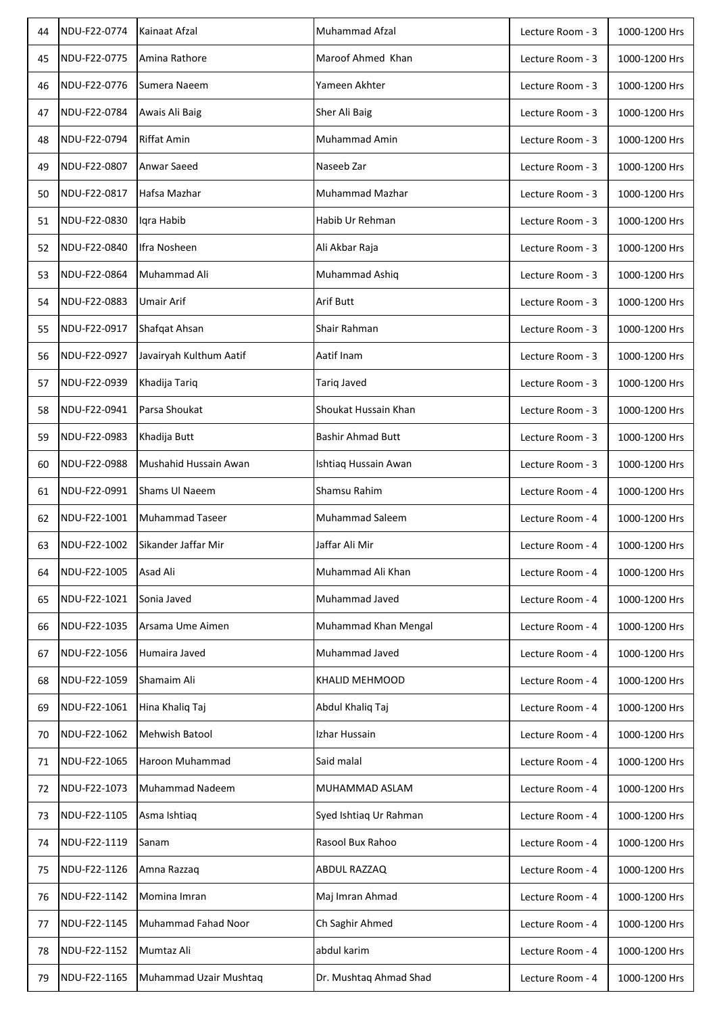| 44 | NDU-F22-0774 | Kainaat Afzal           | Muhammad Afzal           | Lecture Room - 3 | 1000-1200 Hrs |
|----|--------------|-------------------------|--------------------------|------------------|---------------|
| 45 | NDU-F22-0775 | Amina Rathore           | Maroof Ahmed Khan        | Lecture Room - 3 | 1000-1200 Hrs |
| 46 | NDU-F22-0776 | Sumera Naeem            | Yameen Akhter            | Lecture Room - 3 | 1000-1200 Hrs |
| 47 | NDU-F22-0784 | Awais Ali Baig          | Sher Ali Baig            | Lecture Room - 3 | 1000-1200 Hrs |
| 48 | NDU-F22-0794 | <b>Riffat Amin</b>      | <b>Muhammad Amin</b>     | Lecture Room - 3 | 1000-1200 Hrs |
| 49 | NDU-F22-0807 | Anwar Saeed             | Naseeb Zar               | Lecture Room - 3 | 1000-1200 Hrs |
| 50 | NDU-F22-0817 | Hafsa Mazhar            | <b>Muhammad Mazhar</b>   | Lecture Room - 3 | 1000-1200 Hrs |
| 51 | NDU-F22-0830 | Igra Habib              | Habib Ur Rehman          | Lecture Room - 3 | 1000-1200 Hrs |
| 52 | NDU-F22-0840 | Ifra Nosheen            | Ali Akbar Raja           | Lecture Room - 3 | 1000-1200 Hrs |
| 53 | NDU-F22-0864 | Muhammad Ali            | Muhammad Ashiq           | Lecture Room - 3 | 1000-1200 Hrs |
| 54 | NDU-F22-0883 | Umair Arif              | Arif Butt                | Lecture Room - 3 | 1000-1200 Hrs |
| 55 | NDU-F22-0917 | Shafqat Ahsan           | Shair Rahman             | Lecture Room - 3 | 1000-1200 Hrs |
| 56 | NDU-F22-0927 | Javairyah Kulthum Aatif | Aatif Inam               | Lecture Room - 3 | 1000-1200 Hrs |
| 57 | NDU-F22-0939 | Khadija Tariq           | <b>Tariq Javed</b>       | Lecture Room - 3 | 1000-1200 Hrs |
| 58 | NDU-F22-0941 | Parsa Shoukat           | Shoukat Hussain Khan     | Lecture Room - 3 | 1000-1200 Hrs |
| 59 | NDU-F22-0983 | Khadija Butt            | <b>Bashir Ahmad Butt</b> | Lecture Room - 3 | 1000-1200 Hrs |
| 60 | NDU-F22-0988 | Mushahid Hussain Awan   | Ishtiaq Hussain Awan     | Lecture Room - 3 | 1000-1200 Hrs |
| 61 | NDU-F22-0991 | Shams Ul Naeem          | Shamsu Rahim             | Lecture Room - 4 | 1000-1200 Hrs |
| 62 | NDU-F22-1001 | <b>Muhammad Taseer</b>  | <b>Muhammad Saleem</b>   | Lecture Room - 4 | 1000-1200 Hrs |
| 63 | NDU-F22-1002 | Sikander Jaffar Mir     | Jaffar Ali Mir           | Lecture Room - 4 | 1000-1200 Hrs |
| 64 | NDU-F22-1005 | <b>Asad Ali</b>         | Muhammad Ali Khan        | Lecture Room - 4 | 1000-1200 Hrs |
| 65 | NDU-F22-1021 | Sonia Javed             | Muhammad Javed           | Lecture Room - 4 | 1000-1200 Hrs |
| 66 | NDU-F22-1035 | Arsama Ume Aimen        | Muhammad Khan Mengal     | Lecture Room - 4 | 1000-1200 Hrs |
| 67 | NDU-F22-1056 | Humaira Javed           | Muhammad Javed           | Lecture Room - 4 | 1000-1200 Hrs |
| 68 | NDU-F22-1059 | Shamaim Ali             | <b>KHALID MEHMOOD</b>    | Lecture Room - 4 | 1000-1200 Hrs |
| 69 | NDU-F22-1061 | Hina Khaliq Taj         | Abdul Khaliq Taj         | Lecture Room - 4 | 1000-1200 Hrs |
| 70 | NDU-F22-1062 | Mehwish Batool          | Izhar Hussain            | Lecture Room - 4 | 1000-1200 Hrs |
| 71 | NDU-F22-1065 | Haroon Muhammad         | Said malal               | Lecture Room - 4 | 1000-1200 Hrs |
| 72 | NDU-F22-1073 | Muhammad Nadeem         | MUHAMMAD ASLAM           | Lecture Room - 4 | 1000-1200 Hrs |
| 73 | NDU-F22-1105 | Asma Ishtiaq            | Syed Ishtiaq Ur Rahman   | Lecture Room - 4 | 1000-1200 Hrs |
| 74 | NDU-F22-1119 | Sanam                   | Rasool Bux Rahoo         | Lecture Room - 4 | 1000-1200 Hrs |
| 75 | NDU-F22-1126 | Amna Razzag             | ABDUL RAZZAQ             | Lecture Room - 4 | 1000-1200 Hrs |
| 76 | NDU-F22-1142 | Momina Imran            | Maj Imran Ahmad          | Lecture Room - 4 | 1000-1200 Hrs |
| 77 | NDU-F22-1145 | Muhammad Fahad Noor     | Ch Saghir Ahmed          | Lecture Room - 4 | 1000-1200 Hrs |
| 78 | NDU-F22-1152 | Mumtaz Ali              | abdul karim              | Lecture Room - 4 | 1000-1200 Hrs |
| 79 | NDU-F22-1165 | Muhammad Uzair Mushtaq  | Dr. Mushtaq Ahmad Shad   | Lecture Room - 4 | 1000-1200 Hrs |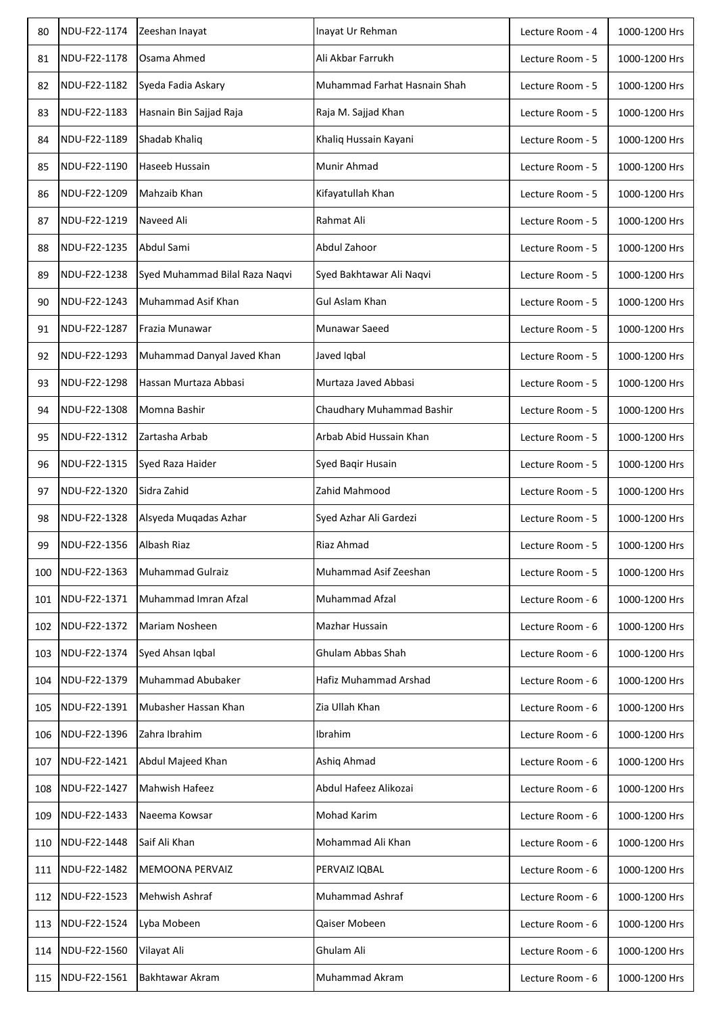| 80  | NDU-F22-1174 | Zeeshan Inayat                 | Inayat Ur Rehman             | Lecture Room - 4 | 1000-1200 Hrs |
|-----|--------------|--------------------------------|------------------------------|------------------|---------------|
| 81  | NDU-F22-1178 | Osama Ahmed                    | Ali Akbar Farrukh            | Lecture Room - 5 | 1000-1200 Hrs |
| 82  | NDU-F22-1182 | Syeda Fadia Askary             | Muhammad Farhat Hasnain Shah | Lecture Room - 5 | 1000-1200 Hrs |
| 83  | NDU-F22-1183 | Hasnain Bin Sajjad Raja        | Raja M. Sajjad Khan          | Lecture Room - 5 | 1000-1200 Hrs |
| 84  | NDU-F22-1189 | Shadab Khaliq                  | Khaliq Hussain Kayani        | Lecture Room - 5 | 1000-1200 Hrs |
| 85  | NDU-F22-1190 | Haseeb Hussain                 | Munir Ahmad                  | Lecture Room - 5 | 1000-1200 Hrs |
| 86  | NDU-F22-1209 | Mahzaib Khan                   | Kifayatullah Khan            | Lecture Room - 5 | 1000-1200 Hrs |
| 87  | NDU-F22-1219 | Naveed Ali                     | Rahmat Ali                   | Lecture Room - 5 | 1000-1200 Hrs |
| 88  | NDU-F22-1235 | Abdul Sami                     | Abdul Zahoor                 | Lecture Room - 5 | 1000-1200 Hrs |
| 89  | NDU-F22-1238 | Syed Muhammad Bilal Raza Naqvi | Syed Bakhtawar Ali Naqvi     | Lecture Room - 5 | 1000-1200 Hrs |
| 90  | NDU-F22-1243 | Muhammad Asif Khan             | <b>Gul Aslam Khan</b>        | Lecture Room - 5 | 1000-1200 Hrs |
| 91  | NDU-F22-1287 | Frazia Munawar                 | Munawar Saeed                | Lecture Room - 5 | 1000-1200 Hrs |
| 92  | NDU-F22-1293 | Muhammad Danyal Javed Khan     | Javed Iqbal                  | Lecture Room - 5 | 1000-1200 Hrs |
| 93  | NDU-F22-1298 | Hassan Murtaza Abbasi          | Murtaza Javed Abbasi         | Lecture Room - 5 | 1000-1200 Hrs |
| 94  | NDU-F22-1308 | Momna Bashir                   | Chaudhary Muhammad Bashir    | Lecture Room - 5 | 1000-1200 Hrs |
| 95  | NDU-F22-1312 | Zartasha Arbab                 | Arbab Abid Hussain Khan      | Lecture Room - 5 | 1000-1200 Hrs |
| 96  | NDU-F22-1315 | Syed Raza Haider               | Syed Baqir Husain            | Lecture Room - 5 | 1000-1200 Hrs |
| 97  | NDU-F22-1320 | Sidra Zahid                    | Zahid Mahmood                | Lecture Room - 5 | 1000-1200 Hrs |
| 98  | NDU-F22-1328 | Alsyeda Muqadas Azhar          | Syed Azhar Ali Gardezi       | Lecture Room - 5 | 1000-1200 Hrs |
| 99  | NDU-F22-1356 | Albash Riaz                    | Riaz Ahmad                   | Lecture Room - 5 | 1000-1200 Hrs |
| 100 | NDU-F22-1363 | <b>Muhammad Gulraiz</b>        | Muhammad Asif Zeeshan        | Lecture Room - 5 | 1000-1200 Hrs |
| 101 | NDU-F22-1371 | Muhammad Imran Afzal           | Muhammad Afzal               | Lecture Room - 6 | 1000-1200 Hrs |
| 102 | NDU-F22-1372 | Mariam Nosheen                 | Mazhar Hussain               | Lecture Room - 6 | 1000-1200 Hrs |
| 103 | NDU-F22-1374 | Syed Ahsan Iqbal               | Ghulam Abbas Shah            | Lecture Room - 6 | 1000-1200 Hrs |
| 104 | NDU-F22-1379 | Muhammad Abubaker              | Hafiz Muhammad Arshad        | Lecture Room - 6 | 1000-1200 Hrs |
| 105 | NDU-F22-1391 | Mubasher Hassan Khan           | Zia Ullah Khan               | Lecture Room - 6 | 1000-1200 Hrs |
| 106 | NDU-F22-1396 | Zahra Ibrahim                  | Ibrahim                      | Lecture Room - 6 | 1000-1200 Hrs |
| 107 | NDU-F22-1421 | Abdul Majeed Khan              | Ashiq Ahmad                  | Lecture Room - 6 | 1000-1200 Hrs |
| 108 | NDU-F22-1427 | Mahwish Hafeez                 | Abdul Hafeez Alikozai        | Lecture Room - 6 | 1000-1200 Hrs |
| 109 | NDU-F22-1433 | Naeema Kowsar                  | <b>Mohad Karim</b>           | Lecture Room - 6 | 1000-1200 Hrs |
| 110 | NDU-F22-1448 | Saif Ali Khan                  | Mohammad Ali Khan            | Lecture Room - 6 | 1000-1200 Hrs |
| 111 | NDU-F22-1482 | MEMOONA PERVAIZ                | PERVAIZ IQBAL                | Lecture Room - 6 | 1000-1200 Hrs |
| 112 | NDU-F22-1523 | Mehwish Ashraf                 | <b>Muhammad Ashraf</b>       | Lecture Room - 6 | 1000-1200 Hrs |
| 113 | NDU-F22-1524 | Lyba Mobeen                    | Qaiser Mobeen                | Lecture Room - 6 | 1000-1200 Hrs |
| 114 | NDU-F22-1560 | Vilayat Ali                    | Ghulam Ali                   | Lecture Room - 6 | 1000-1200 Hrs |
| 115 | NDU-F22-1561 | Bakhtawar Akram                | Muhammad Akram               | Lecture Room - 6 | 1000-1200 Hrs |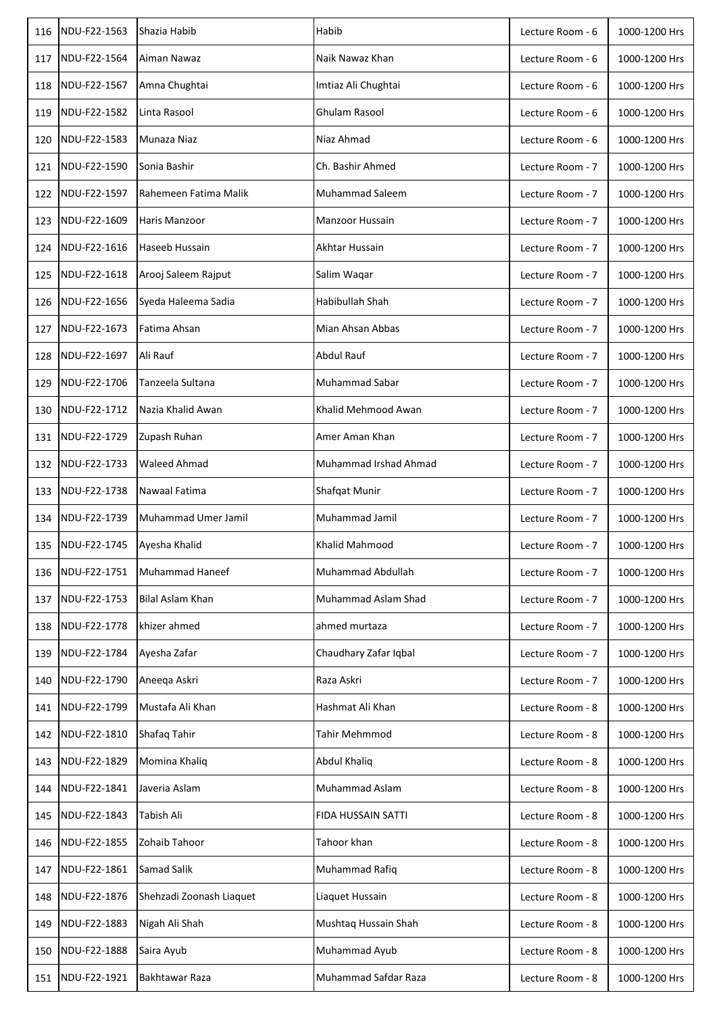| 116 | NDU-F22-1563 | Shazia Habib             | Habib                 | Lecture Room - 6 | 1000-1200 Hrs |
|-----|--------------|--------------------------|-----------------------|------------------|---------------|
| 117 | NDU-F22-1564 | Aiman Nawaz              | Naik Nawaz Khan       | Lecture Room - 6 | 1000-1200 Hrs |
| 118 | NDU-F22-1567 | Amna Chughtai            | Imtiaz Ali Chughtai   | Lecture Room - 6 | 1000-1200 Hrs |
| 119 | NDU-F22-1582 | Linta Rasool             | <b>Ghulam Rasool</b>  | Lecture Room - 6 | 1000-1200 Hrs |
| 120 | NDU-F22-1583 | Munaza Niaz              | Niaz Ahmad            | Lecture Room - 6 | 1000-1200 Hrs |
| 121 | NDU-F22-1590 | Sonia Bashir             | Ch. Bashir Ahmed      | Lecture Room - 7 | 1000-1200 Hrs |
| 122 | NDU-F22-1597 | Rahemeen Fatima Malik    | Muhammad Saleem       | Lecture Room - 7 | 1000-1200 Hrs |
| 123 | NDU-F22-1609 | Haris Manzoor            | Manzoor Hussain       | Lecture Room - 7 | 1000-1200 Hrs |
| 124 | NDU-F22-1616 | Haseeb Hussain           | Akhtar Hussain        | Lecture Room - 7 | 1000-1200 Hrs |
| 125 | NDU-F22-1618 | Arooj Saleem Rajput      | Salim Waqar           | Lecture Room - 7 | 1000-1200 Hrs |
| 126 | NDU-F22-1656 | Syeda Haleema Sadia      | Habibullah Shah       | Lecture Room - 7 | 1000-1200 Hrs |
| 127 | NDU-F22-1673 | Fatima Ahsan             | Mian Ahsan Abbas      | Lecture Room - 7 | 1000-1200 Hrs |
| 128 | NDU-F22-1697 | Ali Rauf                 | <b>Abdul Rauf</b>     | Lecture Room - 7 | 1000-1200 Hrs |
| 129 | NDU-F22-1706 | Tanzeela Sultana         | Muhammad Sabar        | Lecture Room - 7 | 1000-1200 Hrs |
| 130 | NDU-F22-1712 | Nazia Khalid Awan        | Khalid Mehmood Awan   | Lecture Room - 7 | 1000-1200 Hrs |
| 131 | NDU-F22-1729 | Zupash Ruhan             | Amer Aman Khan        | Lecture Room - 7 | 1000-1200 Hrs |
| 132 | NDU-F22-1733 | <b>Waleed Ahmad</b>      | Muhammad Irshad Ahmad | Lecture Room - 7 | 1000-1200 Hrs |
| 133 | NDU-F22-1738 | Nawaal Fatima            | Shafqat Munir         | Lecture Room - 7 | 1000-1200 Hrs |
| 134 | NDU-F22-1739 | Muhammad Umer Jamil      | Muhammad Jamil        | Lecture Room - 7 | 1000-1200 Hrs |
| 135 | NDU-F22-1745 | Ayesha Khalid            | Khalid Mahmood        | Lecture Room - 7 | 1000-1200 Hrs |
| 136 | NDU-F22-1751 | Muhammad Haneef          | Muhammad Abdullah     | Lecture Room - 7 | 1000-1200 Hrs |
| 137 | NDU-F22-1753 | Bilal Aslam Khan         | Muhammad Aslam Shad   | Lecture Room - 7 | 1000-1200 Hrs |
| 138 | NDU-F22-1778 | khizer ahmed             | ahmed murtaza         | Lecture Room - 7 | 1000-1200 Hrs |
| 139 | NDU-F22-1784 | Ayesha Zafar             | Chaudhary Zafar Iqbal | Lecture Room - 7 | 1000-1200 Hrs |
| 140 | NDU-F22-1790 | Aneeqa Askri             | Raza Askri            | Lecture Room - 7 | 1000-1200 Hrs |
| 141 | NDU-F22-1799 | Mustafa Ali Khan         | Hashmat Ali Khan      | Lecture Room - 8 | 1000-1200 Hrs |
| 142 | NDU-F22-1810 | Shafaq Tahir             | <b>Tahir Mehmmod</b>  | Lecture Room - 8 | 1000-1200 Hrs |
| 143 | NDU-F22-1829 | Momina Khaliq            | <b>Abdul Khaliq</b>   | Lecture Room - 8 | 1000-1200 Hrs |
| 144 | NDU-F22-1841 | Javeria Aslam            | <b>Muhammad Aslam</b> | Lecture Room - 8 | 1000-1200 Hrs |
| 145 | NDU-F22-1843 | Tabish Ali               | FIDA HUSSAIN SATTI    | Lecture Room - 8 | 1000-1200 Hrs |
| 146 | NDU-F22-1855 | Zohaib Tahoor            | Tahoor khan           | Lecture Room - 8 | 1000-1200 Hrs |
| 147 | NDU-F22-1861 | Samad Salik              | Muhammad Rafiq        | Lecture Room - 8 | 1000-1200 Hrs |
| 148 | NDU-F22-1876 | Shehzadi Zoonash Liaquet | Liaquet Hussain       | Lecture Room - 8 | 1000-1200 Hrs |
| 149 | NDU-F22-1883 | Nigah Ali Shah           | Mushtaq Hussain Shah  | Lecture Room - 8 | 1000-1200 Hrs |
| 150 | NDU-F22-1888 | Saira Ayub               | Muhammad Ayub         | Lecture Room - 8 | 1000-1200 Hrs |
| 151 | NDU-F22-1921 | Bakhtawar Raza           | Muhammad Safdar Raza  | Lecture Room - 8 | 1000-1200 Hrs |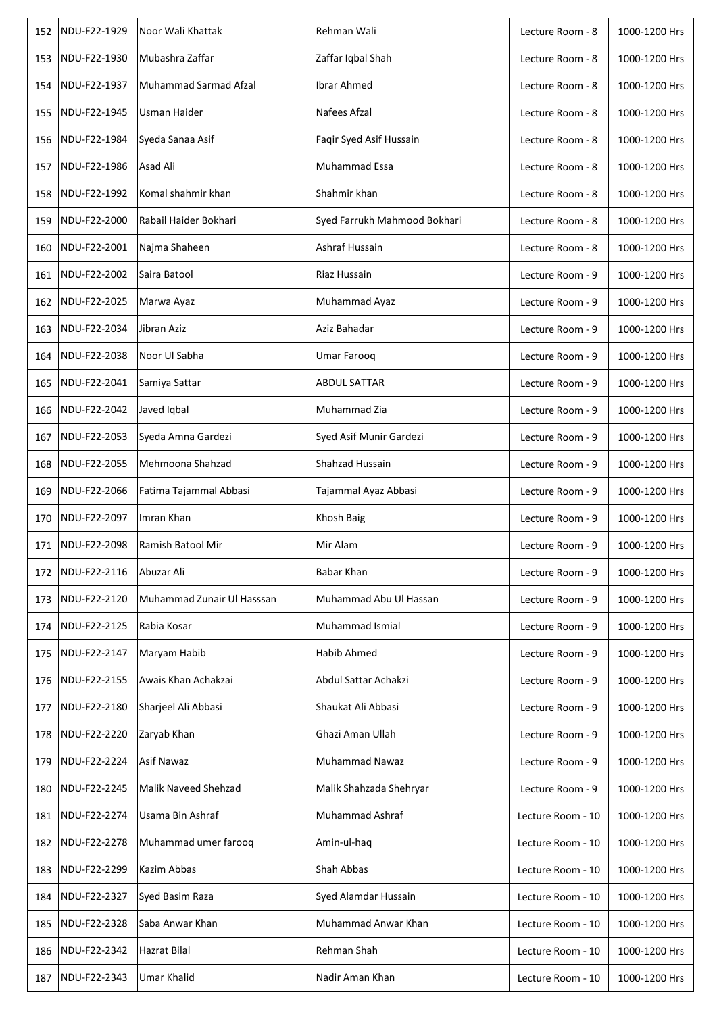| 152 | NDU-F22-1929 | Noor Wali Khattak          | Rehman Wali                  | Lecture Room - 8  | 1000-1200 Hrs |
|-----|--------------|----------------------------|------------------------------|-------------------|---------------|
| 153 | NDU-F22-1930 | Mubashra Zaffar            | Zaffar Iqbal Shah            | Lecture Room - 8  | 1000-1200 Hrs |
| 154 | NDU-F22-1937 | Muhammad Sarmad Afzal      | Ibrar Ahmed                  | Lecture Room - 8  | 1000-1200 Hrs |
| 155 | NDU-F22-1945 | <b>Usman Haider</b>        | Nafees Afzal                 | Lecture Room - 8  | 1000-1200 Hrs |
| 156 | NDU-F22-1984 | Syeda Sanaa Asif           | Faqir Syed Asif Hussain      | Lecture Room - 8  | 1000-1200 Hrs |
| 157 | NDU-F22-1986 | Asad Ali                   | Muhammad Essa                | Lecture Room - 8  | 1000-1200 Hrs |
| 158 | NDU-F22-1992 | Komal shahmir khan         | Shahmir khan                 | Lecture Room - 8  | 1000-1200 Hrs |
| 159 | NDU-F22-2000 | Rabail Haider Bokhari      | Syed Farrukh Mahmood Bokhari | Lecture Room - 8  | 1000-1200 Hrs |
| 160 | NDU-F22-2001 | Najma Shaheen              | Ashraf Hussain               | Lecture Room - 8  | 1000-1200 Hrs |
| 161 | NDU-F22-2002 | Saira Batool               | Riaz Hussain                 | Lecture Room - 9  | 1000-1200 Hrs |
| 162 | NDU-F22-2025 | Marwa Ayaz                 | Muhammad Ayaz                | Lecture Room - 9  | 1000-1200 Hrs |
| 163 | NDU-F22-2034 | Jibran Aziz                | Aziz Bahadar                 | Lecture Room - 9  | 1000-1200 Hrs |
| 164 | NDU-F22-2038 | Noor Ul Sabha              | Umar Faroog                  | Lecture Room - 9  | 1000-1200 Hrs |
| 165 | NDU-F22-2041 | Samiya Sattar              | <b>ABDUL SATTAR</b>          | Lecture Room - 9  | 1000-1200 Hrs |
| 166 | NDU-F22-2042 | Javed Iqbal                | Muhammad Zia                 | Lecture Room - 9  | 1000-1200 Hrs |
| 167 | NDU-F22-2053 | Syeda Amna Gardezi         | Syed Asif Munir Gardezi      | Lecture Room - 9  | 1000-1200 Hrs |
| 168 | NDU-F22-2055 | Mehmoona Shahzad           | Shahzad Hussain              | Lecture Room - 9  | 1000-1200 Hrs |
| 169 | NDU-F22-2066 | Fatima Tajammal Abbasi     | Tajammal Ayaz Abbasi         | Lecture Room - 9  | 1000-1200 Hrs |
| 170 | NDU-F22-2097 | Imran Khan                 | <b>Khosh Baig</b>            | Lecture Room - 9  | 1000-1200 Hrs |
| 171 | NDU-F22-2098 | Ramish Batool Mir          | Mir Alam                     | Lecture Room - 9  | 1000-1200 Hrs |
| 172 | NDU-F22-2116 | Abuzar Ali                 | <b>Babar Khan</b>            | Lecture Room - 9  | 1000-1200 Hrs |
| 173 | NDU-F22-2120 | Muhammad Zunair Ul Hasssan | Muhammad Abu Ul Hassan       | Lecture Room - 9  | 1000-1200 Hrs |
| 174 | NDU-F22-2125 | Rabia Kosar                | <b>Muhammad Ismial</b>       | Lecture Room - 9  | 1000-1200 Hrs |
| 175 | NDU-F22-2147 | Maryam Habib               | <b>Habib Ahmed</b>           | Lecture Room - 9  | 1000-1200 Hrs |
| 176 | NDU-F22-2155 | Awais Khan Achakzai        | Abdul Sattar Achakzi         | Lecture Room - 9  | 1000-1200 Hrs |
| 177 | NDU-F22-2180 | Sharjeel Ali Abbasi        | Shaukat Ali Abbasi           | Lecture Room - 9  | 1000-1200 Hrs |
| 178 | NDU-F22-2220 | Zaryab Khan                | Ghazi Aman Ullah             | Lecture Room - 9  | 1000-1200 Hrs |
| 179 | NDU-F22-2224 | Asif Nawaz                 | <b>Muhammad Nawaz</b>        | Lecture Room - 9  | 1000-1200 Hrs |
| 180 | NDU-F22-2245 | Malik Naveed Shehzad       | Malik Shahzada Shehryar      | Lecture Room - 9  | 1000-1200 Hrs |
| 181 | NDU-F22-2274 | Usama Bin Ashraf           | <b>Muhammad Ashraf</b>       | Lecture Room - 10 | 1000-1200 Hrs |
| 182 | NDU-F22-2278 | Muhammad umer farooq       | Amin-ul-haq                  | Lecture Room - 10 | 1000-1200 Hrs |
| 183 | NDU-F22-2299 | Kazim Abbas                | Shah Abbas                   | Lecture Room - 10 | 1000-1200 Hrs |
| 184 | NDU-F22-2327 | Syed Basim Raza            | Syed Alamdar Hussain         | Lecture Room - 10 | 1000-1200 Hrs |
| 185 | NDU-F22-2328 | Saba Anwar Khan            | Muhammad Anwar Khan          | Lecture Room - 10 | 1000-1200 Hrs |
| 186 | NDU-F22-2342 | Hazrat Bilal               | Rehman Shah                  | Lecture Room - 10 | 1000-1200 Hrs |
| 187 | NDU-F22-2343 | <b>Umar Khalid</b>         | Nadir Aman Khan              | Lecture Room - 10 | 1000-1200 Hrs |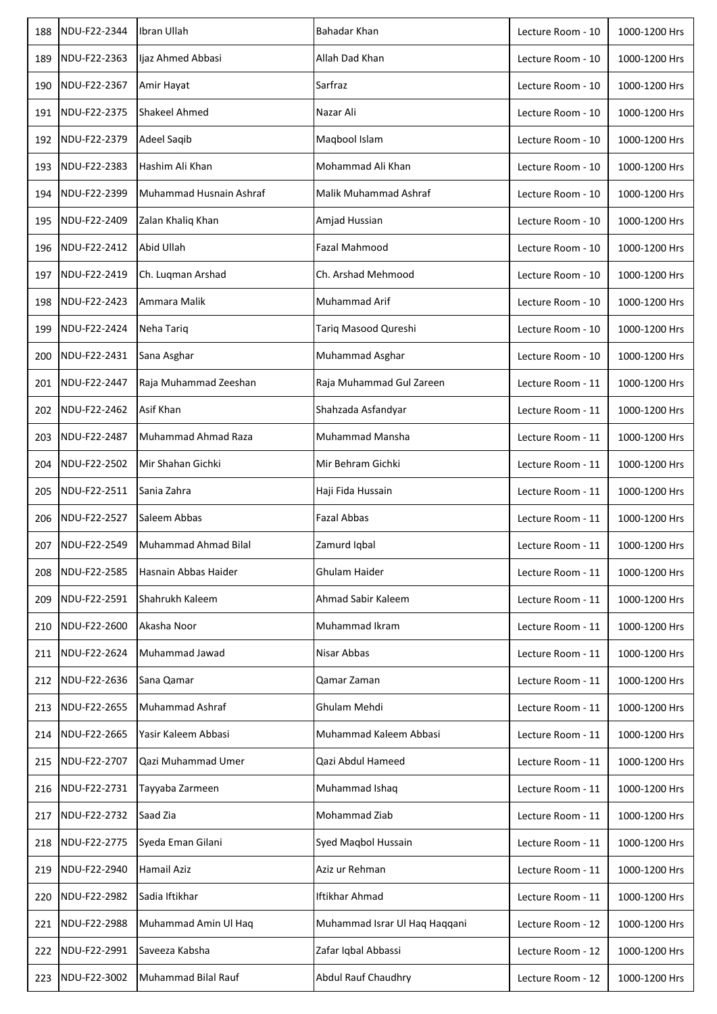| 188 | NDU-F22-2344 | Ibran Ullah             | Bahadar Khan                  | Lecture Room - 10 | 1000-1200 Hrs |
|-----|--------------|-------------------------|-------------------------------|-------------------|---------------|
| 189 | NDU-F22-2363 | Ijaz Ahmed Abbasi       | Allah Dad Khan                | Lecture Room - 10 | 1000-1200 Hrs |
| 190 | NDU-F22-2367 | Amir Hayat              | Sarfraz                       | Lecture Room - 10 | 1000-1200 Hrs |
| 191 | NDU-F22-2375 | Shakeel Ahmed           | Nazar Ali                     | Lecture Room - 10 | 1000-1200 Hrs |
| 192 | NDU-F22-2379 | Adeel Saqib             | Maqbool Islam                 | Lecture Room - 10 | 1000-1200 Hrs |
| 193 | NDU-F22-2383 | Hashim Ali Khan         | Mohammad Ali Khan             | Lecture Room - 10 | 1000-1200 Hrs |
| 194 | NDU-F22-2399 | Muhammad Husnain Ashraf | Malik Muhammad Ashraf         | Lecture Room - 10 | 1000-1200 Hrs |
| 195 | NDU-F22-2409 | Zalan Khaliq Khan       | Amjad Hussian                 | Lecture Room - 10 | 1000-1200 Hrs |
| 196 | NDU-F22-2412 | Abid Ullah              | Fazal Mahmood                 | Lecture Room - 10 | 1000-1200 Hrs |
| 197 | NDU-F22-2419 | Ch. Luqman Arshad       | Ch. Arshad Mehmood            | Lecture Room - 10 | 1000-1200 Hrs |
| 198 | NDU-F22-2423 | Ammara Malik            | Muhammad Arif                 | Lecture Room - 10 | 1000-1200 Hrs |
| 199 | NDU-F22-2424 | Neha Tariq              | Tariq Masood Qureshi          | Lecture Room - 10 | 1000-1200 Hrs |
| 200 | NDU-F22-2431 | Sana Asghar             | Muhammad Asghar               | Lecture Room - 10 | 1000-1200 Hrs |
| 201 | NDU-F22-2447 | Raja Muhammad Zeeshan   | Raja Muhammad Gul Zareen      | Lecture Room - 11 | 1000-1200 Hrs |
| 202 | NDU-F22-2462 | Asif Khan               | Shahzada Asfandyar            | Lecture Room - 11 | 1000-1200 Hrs |
| 203 | NDU-F22-2487 | Muhammad Ahmad Raza     | Muhammad Mansha               | Lecture Room - 11 | 1000-1200 Hrs |
| 204 | NDU-F22-2502 | Mir Shahan Gichki       | Mir Behram Gichki             | Lecture Room - 11 | 1000-1200 Hrs |
| 205 | NDU-F22-2511 | Sania Zahra             | Haji Fida Hussain             | Lecture Room - 11 | 1000-1200 Hrs |
| 206 | NDU-F22-2527 | Saleem Abbas            | <b>Fazal Abbas</b>            | Lecture Room - 11 | 1000-1200 Hrs |
| 207 | NDU-F22-2549 | Muhammad Ahmad Bilal    | Zamurd Iqbal                  | Lecture Room - 11 | 1000-1200 Hrs |
| 208 | NDU-F22-2585 | Hasnain Abbas Haider    | Ghulam Haider                 | Lecture Room - 11 | 1000-1200 Hrs |
| 209 | NDU-F22-2591 | Shahrukh Kaleem         | Ahmad Sabir Kaleem            | Lecture Room - 11 | 1000-1200 Hrs |
| 210 | NDU-F22-2600 | Akasha Noor             | Muhammad Ikram                | Lecture Room - 11 | 1000-1200 Hrs |
| 211 | NDU-F22-2624 | Muhammad Jawad          | Nisar Abbas                   | Lecture Room - 11 | 1000-1200 Hrs |
| 212 | NDU-F22-2636 | Sana Qamar              | Qamar Zaman                   | Lecture Room - 11 | 1000-1200 Hrs |
| 213 | NDU-F22-2655 | Muhammad Ashraf         | Ghulam Mehdi                  | Lecture Room - 11 | 1000-1200 Hrs |
| 214 | NDU-F22-2665 | Yasir Kaleem Abbasi     | Muhammad Kaleem Abbasi        | Lecture Room - 11 | 1000-1200 Hrs |
| 215 | NDU-F22-2707 | Qazi Muhammad Umer      | Qazi Abdul Hameed             | Lecture Room - 11 | 1000-1200 Hrs |
| 216 | NDU-F22-2731 | Tayyaba Zarmeen         | Muhammad Ishaq                | Lecture Room - 11 | 1000-1200 Hrs |
| 217 | NDU-F22-2732 | Saad Zia                | Mohammad Ziab                 | Lecture Room - 11 | 1000-1200 Hrs |
| 218 | NDU-F22-2775 | Syeda Eman Gilani       | Syed Maqbol Hussain           | Lecture Room - 11 | 1000-1200 Hrs |
| 219 | NDU-F22-2940 | Hamail Aziz             | Aziz ur Rehman                | Lecture Room - 11 | 1000-1200 Hrs |
| 220 | NDU-F22-2982 | Sadia Iftikhar          | Iftikhar Ahmad                | Lecture Room - 11 | 1000-1200 Hrs |
| 221 | NDU-F22-2988 | Muhammad Amin Ul Haq    | Muhammad Israr Ul Haq Haqqani | Lecture Room - 12 | 1000-1200 Hrs |
| 222 | NDU-F22-2991 | Saveeza Kabsha          | Zafar Iqbal Abbassi           | Lecture Room - 12 | 1000-1200 Hrs |
| 223 | NDU-F22-3002 | Muhammad Bilal Rauf     | <b>Abdul Rauf Chaudhry</b>    | Lecture Room - 12 | 1000-1200 Hrs |